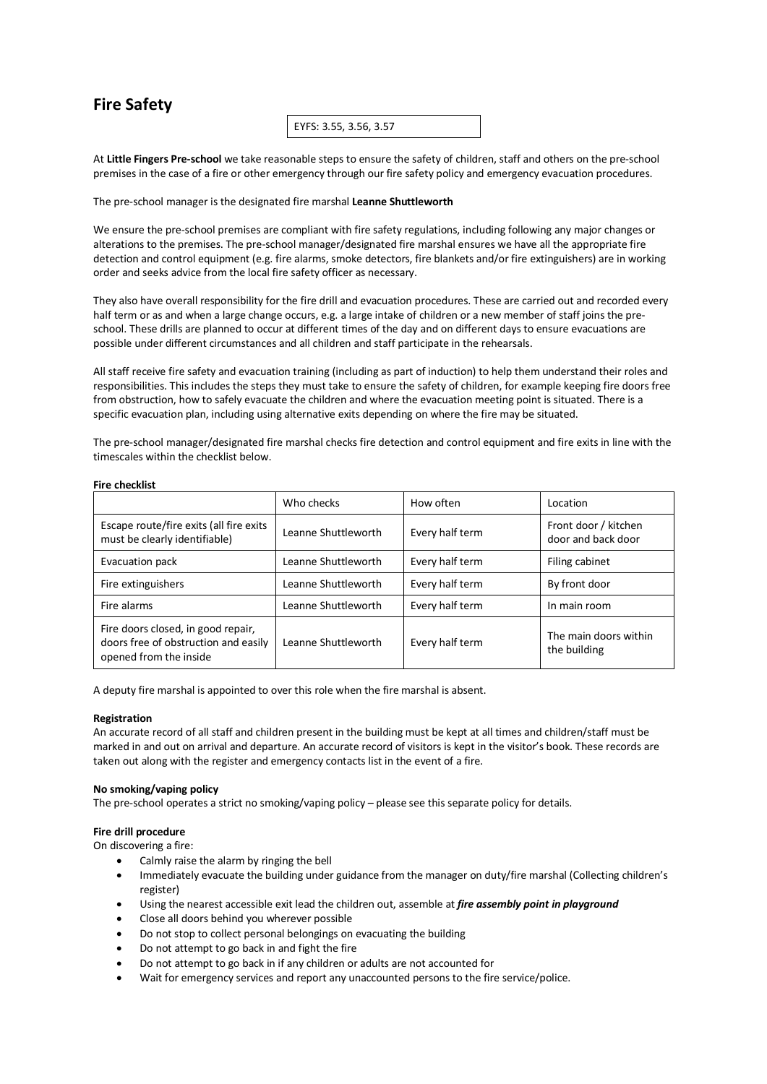# **Fire Safety**

EYFS: 3.55, 3.56, 3.57

At **Little Fingers Pre-school** we take reasonable steps to ensure the safety of children, staff and others on the pre-school premises in the case of a fire or other emergency through our fire safety policy and emergency evacuation procedures.

The pre-school manager is the designated fire marshal **Leanne Shuttleworth**

We ensure the pre-school premises are compliant with fire safety regulations, including following any major changes or alterations to the premises. The pre-school manager/designated fire marshal ensures we have all the appropriate fire detection and control equipment (e.g. fire alarms, smoke detectors, fire blankets and/or fire extinguishers) are in working order and seeks advice from the local fire safety officer as necessary.

They also have overall responsibility for the fire drill and evacuation procedures. These are carried out and recorded every half term or as and when a large change occurs, e.g. a large intake of children or a new member of staff joins the preschool. These drills are planned to occur at different times of the day and on different days to ensure evacuations are possible under different circumstances and all children and staff participate in the rehearsals.

All staff receive fire safety and evacuation training (including as part of induction) to help them understand their roles and responsibilities. This includes the steps they must take to ensure the safety of children, for example keeping fire doors free from obstruction, how to safely evacuate the children and where the evacuation meeting point is situated. There is a specific evacuation plan, including using alternative exits depending on where the fire may be situated.

The pre-school manager/designated fire marshal checks fire detection and control equipment and fire exits in line with the timescales within the checklist below.

|                                                                                                      | Who checks          | How often       | Location                                   |
|------------------------------------------------------------------------------------------------------|---------------------|-----------------|--------------------------------------------|
| Escape route/fire exits (all fire exits<br>must be clearly identifiable)                             | Leanne Shuttleworth | Every half term | Front door / kitchen<br>door and back door |
| Evacuation pack                                                                                      | Leanne Shuttleworth | Every half term | Filing cabinet                             |
| Fire extinguishers                                                                                   | Leanne Shuttleworth | Every half term | By front door                              |
| Fire alarms                                                                                          | Leanne Shuttleworth | Every half term | In main room                               |
| Fire doors closed, in good repair,<br>doors free of obstruction and easily<br>opened from the inside | Leanne Shuttleworth | Every half term | The main doors within<br>the building      |

A deputy fire marshal is appointed to over this role when the fire marshal is absent.

### **Registration**

An accurate record of all staff and children present in the building must be kept at all times and children/staff must be marked in and out on arrival and departure. An accurate record of visitors is kept in the visitor's book. These records are taken out along with the register and emergency contacts list in the event of a fire.

### **No smoking/vaping policy**

The pre-school operates a strict no smoking/vaping policy – please see this separate policy for details.

## **Fire drill procedure**

On discovering a fire:

- Calmly raise the alarm by ringing the bell
- Immediately evacuate the building under guidance from the manager on duty/fire marshal (Collecting children's register)
- Using the nearest accessible exit lead the children out, assemble at *fire assembly point in playground*
- Close all doors behind you wherever possible
- Do not stop to collect personal belongings on evacuating the building
- Do not attempt to go back in and fight the fire
- Do not attempt to go back in if any children or adults are not accounted for
- Wait for emergency services and report any unaccounted persons to the fire service/police.